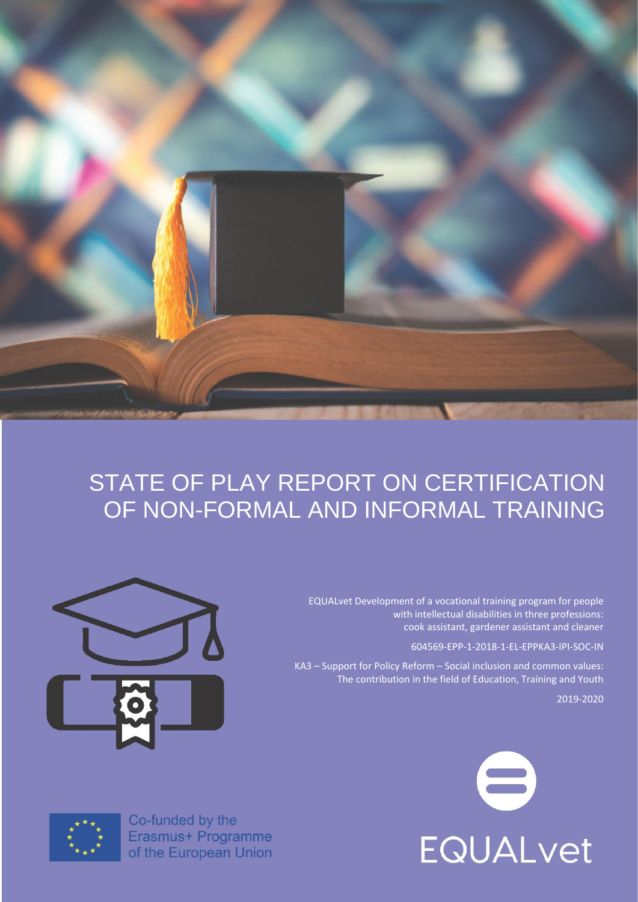

# STATE OF PLAY REPORT ON CERTIFICATION OF NON-FORMAL AND INFORMAL TRAINING

EQUALvet Development of a vocational training program for people with intellectual disabilities in three professions: cook assistant, gardener assistant and cleaner

604569-EPP-1-2018-1-EL-EPPKA3-IPI-SOC-IN

KA3 – Support for Policy Reform – Social inclusion and common values: The contribution in the field of Education, Training and Youth

2019-2020







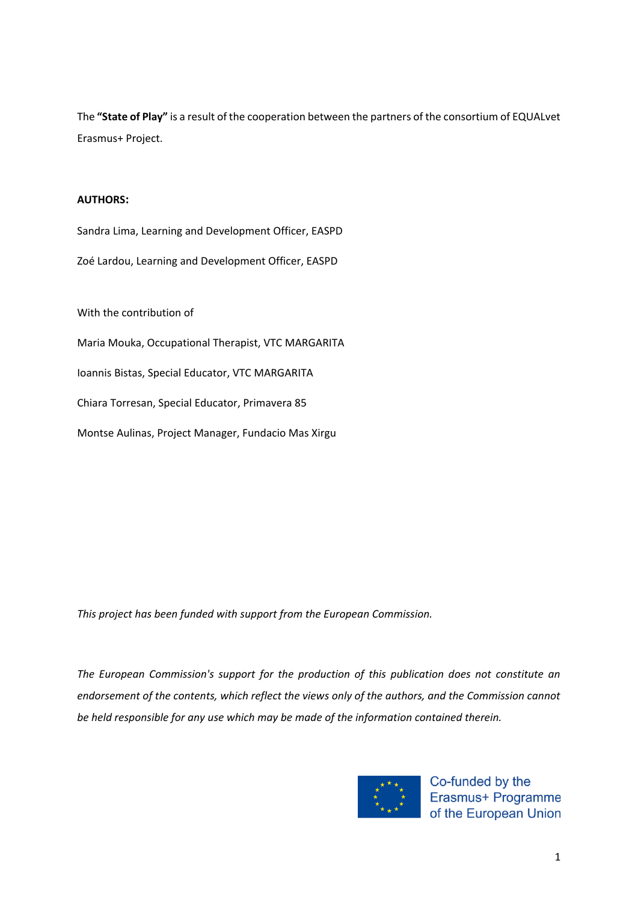The **"State of Play"** is a result of the cooperation between the partners of the consortium of EQUALvet Erasmus+ Project.

### **AUTHORS:**

Sandra Lima, Learning and Development Officer, EASPD

Zoé Lardou, Learning and Development Officer, EASPD

With the contribution of

Maria Mouka, Occupational Therapist, VTC MARGARITA

Ioannis Bistas, Special Educator, VTC MARGARITA

Chiara Torresan, Special Educator, Primavera 85

Montse Aulinas, Project Manager, Fundacio Mas Xirgu

*This project has been funded with support from the European Commission.*

*The European Commission's support for the production of this publication does not constitute an endorsement of the contents, which reflect the views only of the authors, and the Commission cannot be held responsible for any use which may be made of the information contained therein.*



Co-funded by the Erasmus+ Programme of the European Union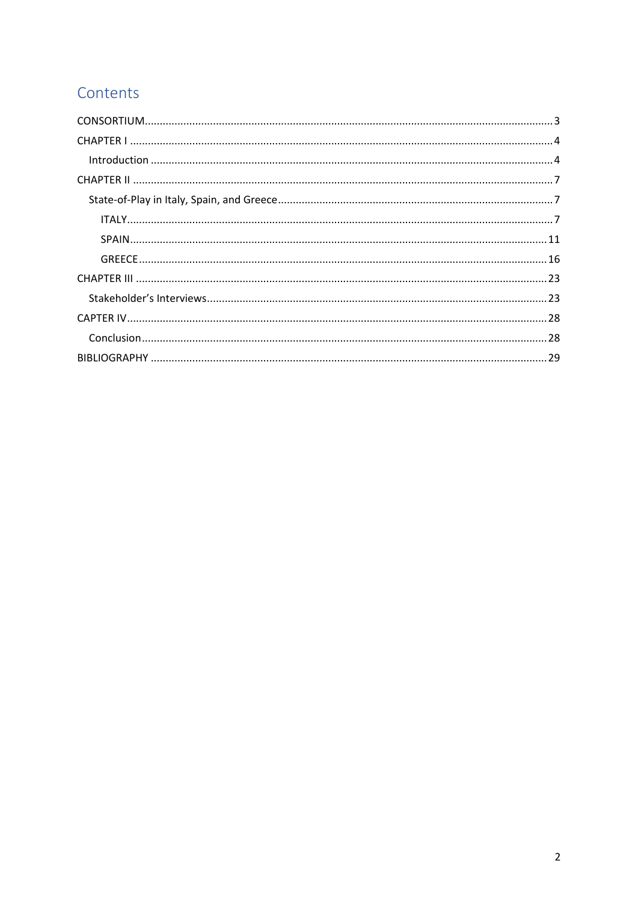# Contents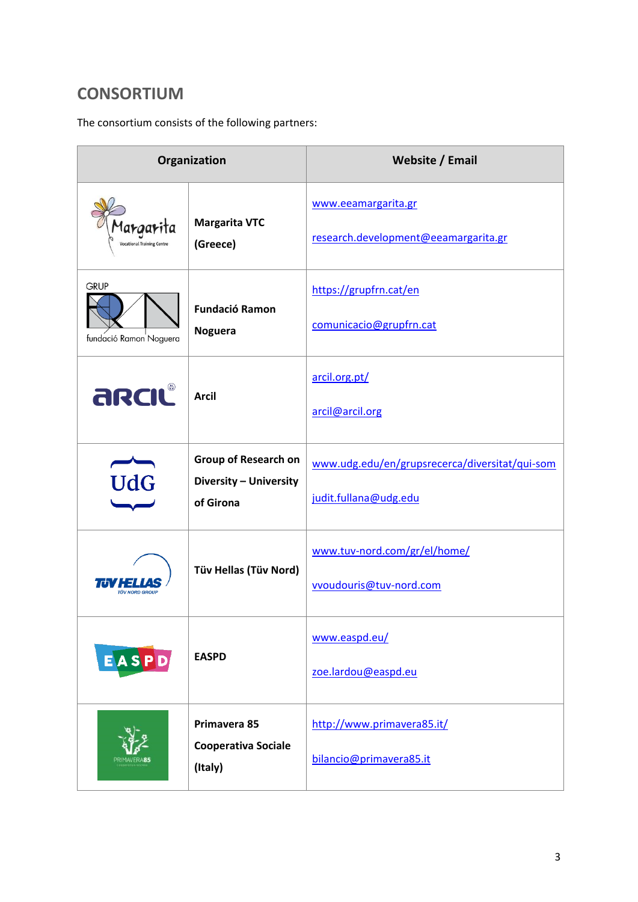# <span id="page-3-0"></span>**CONSORTIUM**

The consortium consists of the following partners:

| Organization                                   |                                                                    | Website / Email                                                         |
|------------------------------------------------|--------------------------------------------------------------------|-------------------------------------------------------------------------|
| Margarita<br><b>Vocational Training Centre</b> | <b>Margarita VTC</b><br>(Greece)                                   | www.eeamargarita.gr<br>research.development@eeamargarita.gr             |
| <b>GRUP</b><br>fundació Ramon Noguera          | <b>Fundació Ramon</b><br><b>Noguera</b>                            | https://grupfrn.cat/en<br>comunicacio@grupfrn.cat                       |
| arciu                                          | <b>Arcil</b>                                                       | arcil.org.pt/<br>arcil@arcil.org                                        |
| $\overline{\text{UdG}}$                        | <b>Group of Research on</b><br>Diversity - University<br>of Girona | www.udg.edu/en/grupsrecerca/diversitat/qui-som<br>judit.fullana@udg.edu |
| ÜV NORD GROU                                   | Tüv Hellas (Tüv Nord)                                              | www.tuv-nord.com/gr/el/home/<br>vvoudouris@tuv-nord.com                 |
| $E$ <b>A</b> S <b>P</b> $D$                    | <b>EASPD</b>                                                       | www.easpd.eu/<br>zoe.lardou@easpd.eu                                    |
|                                                | Primavera 85<br><b>Cooperativa Sociale</b><br>(Italy)              | http://www.primavera85.it/<br>bilancio@primavera85.it                   |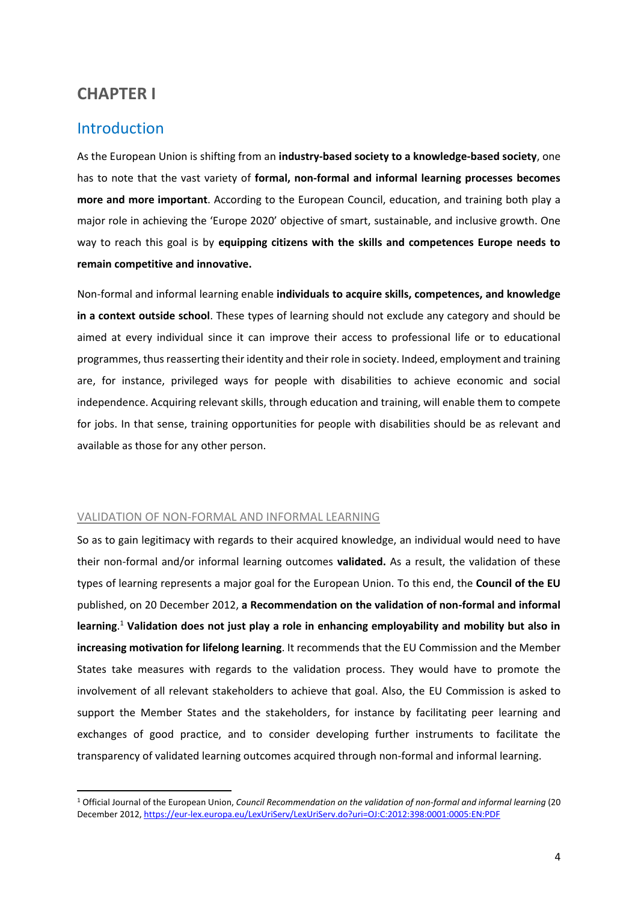# <span id="page-4-0"></span>**CHAPTER I**

# <span id="page-4-1"></span>Introduction

As the European Union is shifting from an **industry-based society to a knowledge-based society**, one has to note that the vast variety of **formal, non-formal and informal learning processes becomes more and more important**. According to the European Council, education, and training both play a major role in achieving the 'Europe 2020' objective of smart, sustainable, and inclusive growth. One way to reach this goal is by **equipping citizens with the skills and competences Europe needs to remain competitive and innovative.**

Non-formal and informal learning enable **individuals to acquire skills, competences, and knowledge in a context outside school**. These types of learning should not exclude any category and should be aimed at every individual since it can improve their access to professional life or to educational programmes, thus reasserting their identity and their role in society. Indeed, employment and training are, for instance, privileged ways for people with disabilities to achieve economic and social independence. Acquiring relevant skills, through education and training, will enable them to compete for jobs. In that sense, training opportunities for people with disabilities should be as relevant and available as those for any other person.

#### VALIDATION OF NON-FORMAL AND INFORMAL LEARNING

So as to gain legitimacy with regards to their acquired knowledge, an individual would need to have their non-formal and/or informal learning outcomes **validated.** As a result, the validation of these types of learning represents a major goal for the European Union. To this end, the **Council of the EU** published, on 20 December 2012, **a Recommendation on the validation of non-formal and informal learning**. <sup>1</sup> **Validation does not just play a role in enhancing employability and mobility but also in increasing motivation for lifelong learning**. It recommends that the EU Commission and the Member States take measures with regards to the validation process. They would have to promote the involvement of all relevant stakeholders to achieve that goal. Also, the EU Commission is asked to support the Member States and the stakeholders, for instance by facilitating peer learning and exchanges of good practice, and to consider developing further instruments to facilitate the transparency of validated learning outcomes acquired through non-formal and informal learning.

<sup>1</sup> Official Journal of the European Union, *Council Recommendation on the validation of non-formal and informal learning* (20 December 2012[, https://eur-lex.europa.eu/LexUriServ/LexUriServ.do?uri=OJ:C:2012:398:0001:0005:EN:PDF](https://eur-lex.europa.eu/LexUriServ/LexUriServ.do?uri=OJ:C:2012:398:0001:0005:EN:PDF)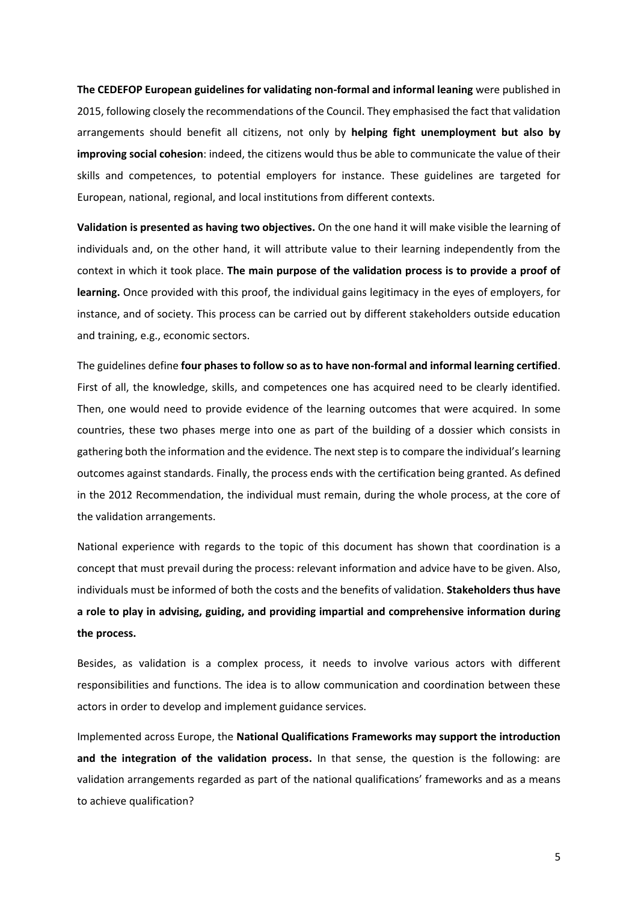**The CEDEFOP European guidelines for validating non-formal and informal leaning** were published in 2015, following closely the recommendations of the Council. They emphasised the fact that validation arrangements should benefit all citizens, not only by **helping fight unemployment but also by improving social cohesion**: indeed, the citizens would thus be able to communicate the value of their skills and competences, to potential employers for instance. These guidelines are targeted for European, national, regional, and local institutions from different contexts.

**Validation is presented as having two objectives.** On the one hand it will make visible the learning of individuals and, on the other hand, it will attribute value to their learning independently from the context in which it took place. **The main purpose of the validation process is to provide a proof of learning.** Once provided with this proof, the individual gains legitimacy in the eyes of employers, for instance, and of society. This process can be carried out by different stakeholders outside education and training, e.g., economic sectors.

The guidelines define **four phases to follow so as to have non-formal and informal learning certified**. First of all, the knowledge, skills, and competences one has acquired need to be clearly identified. Then, one would need to provide evidence of the learning outcomes that were acquired. In some countries, these two phases merge into one as part of the building of a dossier which consists in gathering both the information and the evidence. The nextstep is to compare the individual's learning outcomes against standards. Finally, the process ends with the certification being granted. As defined in the 2012 Recommendation, the individual must remain, during the whole process, at the core of the validation arrangements.

National experience with regards to the topic of this document has shown that coordination is a concept that must prevail during the process: relevant information and advice have to be given. Also, individuals must be informed of both the costs and the benefits of validation. **Stakeholders thus have a role to play in advising, guiding, and providing impartial and comprehensive information during the process.**

Besides, as validation is a complex process, it needs to involve various actors with different responsibilities and functions. The idea is to allow communication and coordination between these actors in order to develop and implement guidance services.

Implemented across Europe, the **National Qualifications Frameworks may support the introduction and the integration of the validation process.** In that sense, the question is the following: are validation arrangements regarded as part of the national qualifications' frameworks and as a means to achieve qualification?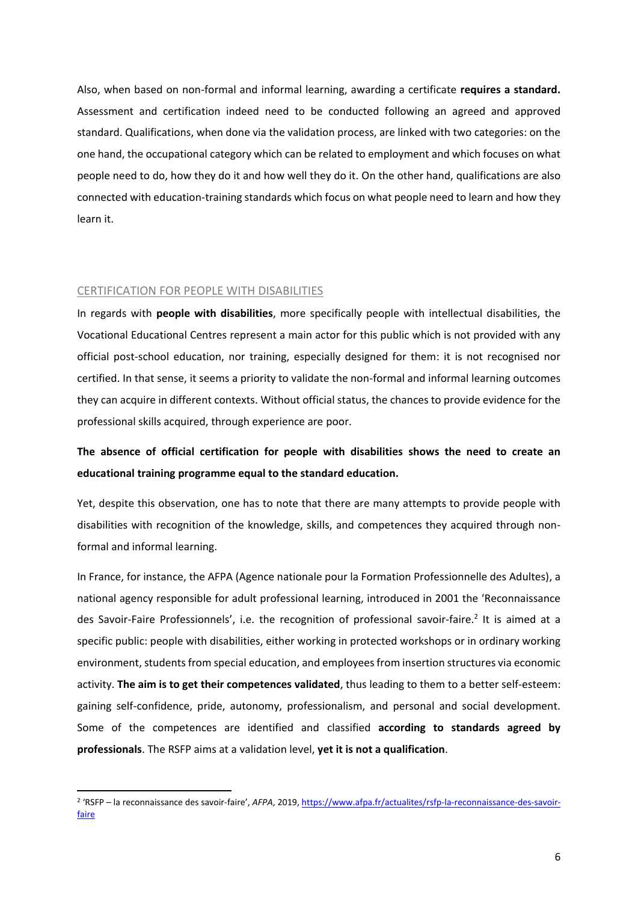Also, when based on non-formal and informal learning, awarding a certificate **requires a standard.** Assessment and certification indeed need to be conducted following an agreed and approved standard. Qualifications, when done via the validation process, are linked with two categories: on the one hand, the occupational category which can be related to employment and which focuses on what people need to do, how they do it and how well they do it. On the other hand, qualifications are also connected with education-training standards which focus on what people need to learn and how they learn it.

#### CERTIFICATION FOR PEOPLE WITH DISABILITIES

In regards with **people with disabilities**, more specifically people with intellectual disabilities, the Vocational Educational Centres represent a main actor for this public which is not provided with any official post-school education, nor training, especially designed for them: it is not recognised nor certified. In that sense, it seems a priority to validate the non-formal and informal learning outcomes they can acquire in different contexts. Without official status, the chances to provide evidence for the professional skills acquired, through experience are poor.

# **The absence of official certification for people with disabilities shows the need to create an educational training programme equal to the standard education.**

Yet, despite this observation, one has to note that there are many attempts to provide people with disabilities with recognition of the knowledge, skills, and competences they acquired through nonformal and informal learning.

In France, for instance, the AFPA (Agence nationale pour la Formation Professionnelle des Adultes), a national agency responsible for adult professional learning, introduced in 2001 the 'Reconnaissance des Savoir-Faire Professionnels', i.e. the recognition of professional savoir-faire.<sup>2</sup> It is aimed at a specific public: people with disabilities, either working in protected workshops or in ordinary working environment, students from special education, and employees from insertion structures via economic activity. **The aim is to get their competences validated**, thus leading to them to a better self-esteem: gaining self-confidence, pride, autonomy, professionalism, and personal and social development. Some of the competences are identified and classified **according to standards agreed by professionals**. The RSFP aims at a validation level, **yet it is not a qualification**.

<sup>2</sup> 'RSFP – la reconnaissance des savoir-faire', *AFPA*, 2019[, https://www.afpa.fr/actualites/rsfp-la-reconnaissance-des-savoir](https://www.afpa.fr/actualites/rsfp-la-reconnaissance-des-savoir-faire)[faire](https://www.afpa.fr/actualites/rsfp-la-reconnaissance-des-savoir-faire)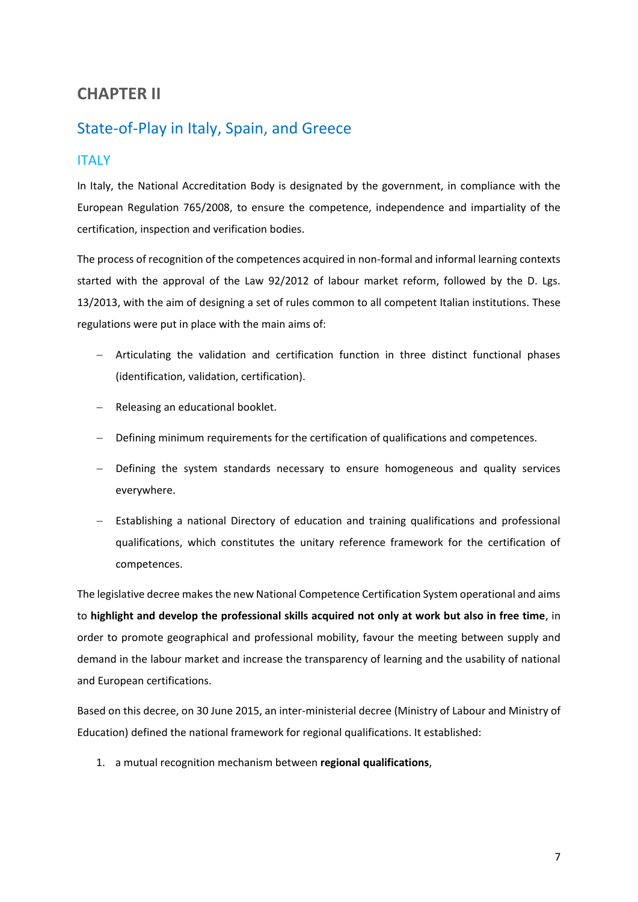# <span id="page-7-0"></span>**CHAPTER II**

# <span id="page-7-1"></span>State-of-Play in Italy, Spain, and Greece

## <span id="page-7-2"></span>ITALY

In Italy, the National Accreditation Body is designated by the government, in compliance with the European Regulation 765/2008, to ensure the competence, independence and impartiality of the certification, inspection and verification bodies.

The process of recognition of the competences acquired in non-formal and informal learning contexts started with the approval of the Law 92/2012 of labour market reform, followed by the D. Lgs. 13/2013, with the aim of designing a set of rules common to all competent Italian institutions. These regulations were put in place with the main aims of:

- − Articulating the validation and certification function in three distinct functional phases (identification, validation, certification).
- − Releasing an educational booklet.
- − Defining minimum requirements for the certification of qualifications and competences.
- − Defining the system standards necessary to ensure homogeneous and quality services everywhere.
- − Establishing a national Directory of education and training qualifications and professional qualifications, which constitutes the unitary reference framework for the certification of competences.

The legislative decree makes the new National Competence Certification System operational and aims to **highlight and develop the professional skills acquired not only at work but also in free time**, in order to promote geographical and professional mobility, favour the meeting between supply and demand in the labour market and increase the transparency of learning and the usability of national and European certifications.

Based on this decree, on 30 June 2015, an inter-ministerial decree (Ministry of Labour and Ministry of Education) defined the national framework for regional qualifications. It established:

1. a mutual recognition mechanism between **regional qualifications**,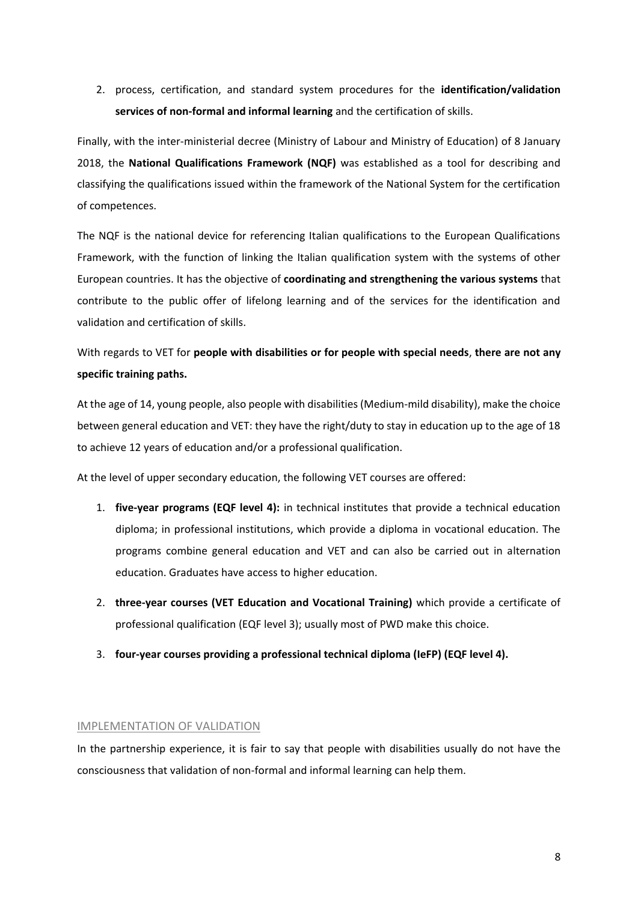2. process, certification, and standard system procedures for the **identification/validation services of non-formal and informal learning** and the certification of skills.

Finally, with the inter-ministerial decree (Ministry of Labour and Ministry of Education) of 8 January 2018, the **National Qualifications Framework (NQF)** was established as a tool for describing and classifying the qualifications issued within the framework of the National System for the certification of competences.

The NQF is the national device for referencing Italian qualifications to the European Qualifications Framework, with the function of linking the Italian qualification system with the systems of other European countries. It has the objective of **coordinating and strengthening the various systems** that contribute to the public offer of lifelong learning and of the services for the identification and validation and certification of skills.

# With regards to VET for **people with disabilities or for people with special needs**, **there are not any specific training paths.**

At the age of 14, young people, also people with disabilities (Medium-mild disability), make the choice between general education and VET: they have the right/duty to stay in education up to the age of 18 to achieve 12 years of education and/or a professional qualification.

At the level of upper secondary education, the following VET courses are offered:

- 1. **five-year programs (EQF level 4):** in technical institutes that provide a technical education diploma; in professional institutions, which provide a diploma in vocational education. The programs combine general education and VET and can also be carried out in alternation education. Graduates have access to higher education.
- 2. **three-year courses (VET Education and Vocational Training)** which provide a certificate of professional qualification (EQF level 3); usually most of PWD make this choice.
- 3. **four-year courses providing a professional technical diploma (IeFP) (EQF level 4).**

#### IMPLEMENTATION OF VALIDATION

In the partnership experience, it is fair to say that people with disabilities usually do not have the consciousness that validation of non-formal and informal learning can help them.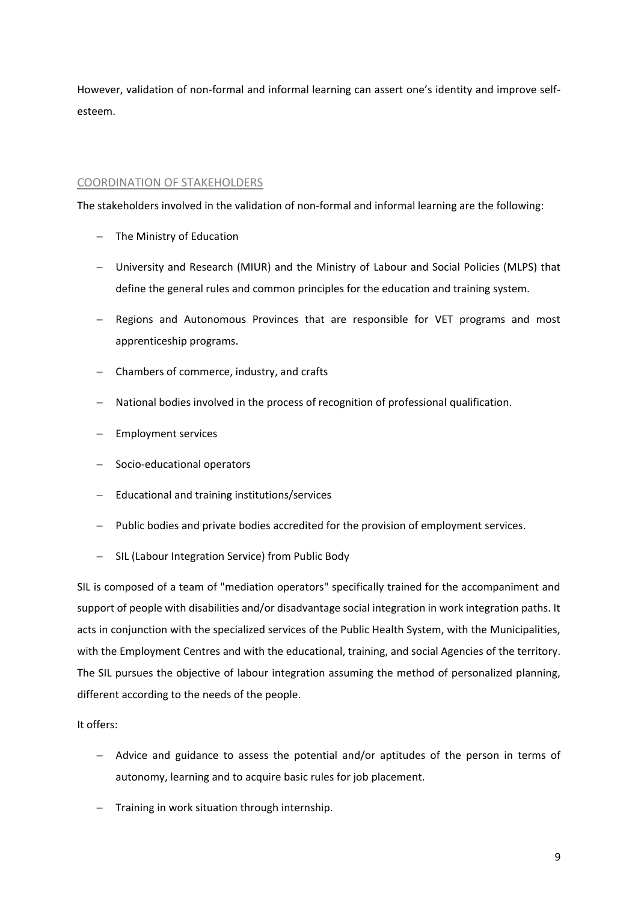However, validation of non-formal and informal learning can assert one's identity and improve selfesteem.

### COORDINATION OF STAKEHOLDERS

The stakeholders involved in the validation of non-formal and informal learning are the following:

- − The Ministry of Education
- − University and Research (MIUR) and the Ministry of Labour and Social Policies (MLPS) that define the general rules and common principles for the education and training system.
- − Regions and Autonomous Provinces that are responsible for VET programs and most apprenticeship programs.
- − Chambers of commerce, industry, and crafts
- − National bodies involved in the process of recognition of professional qualification.
- − Employment services
- − Socio-educational operators
- − Educational and training institutions/services
- Public bodies and private bodies accredited for the provision of employment services.
- − SIL (Labour Integration Service) from Public Body

SIL is composed of a team of "mediation operators" specifically trained for the accompaniment and support of people with disabilities and/or disadvantage social integration in work integration paths. It acts in conjunction with the specialized services of the Public Health System, with the Municipalities, with the Employment Centres and with the educational, training, and social Agencies of the territory. The SIL pursues the objective of labour integration assuming the method of personalized planning, different according to the needs of the people.

It offers:

- − Advice and guidance to assess the potential and/or aptitudes of the person in terms of autonomy, learning and to acquire basic rules for job placement.
- − Training in work situation through internship.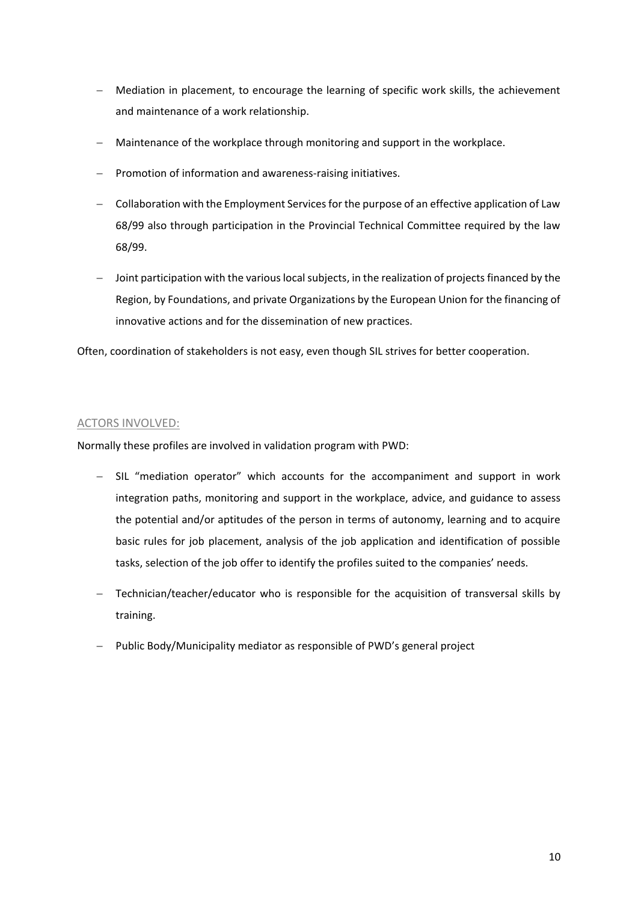- − Mediation in placement, to encourage the learning of specific work skills, the achievement and maintenance of a work relationship.
- − Maintenance of the workplace through monitoring and support in the workplace.
- − Promotion of information and awareness-raising initiatives.
- − Collaboration with the Employment Services for the purpose of an effective application of Law 68/99 also through participation in the Provincial Technical Committee required by the law 68/99.
- − Joint participation with the various local subjects, in the realization of projects financed by the Region, by Foundations, and private Organizations by the European Union for the financing of innovative actions and for the dissemination of new practices.

Often, coordination of stakeholders is not easy, even though SIL strives for better cooperation.

### ACTORS INVOLVED:

Normally these profiles are involved in validation program with PWD:

- − SIL "mediation operator" which accounts for the accompaniment and support in work integration paths, monitoring and support in the workplace, advice, and guidance to assess the potential and/or aptitudes of the person in terms of autonomy, learning and to acquire basic rules for job placement, analysis of the job application and identification of possible tasks, selection of the job offer to identify the profiles suited to the companies' needs.
- − Technician/teacher/educator who is responsible for the acquisition of transversal skills by training.
- Public Body/Municipality mediator as responsible of PWD's general project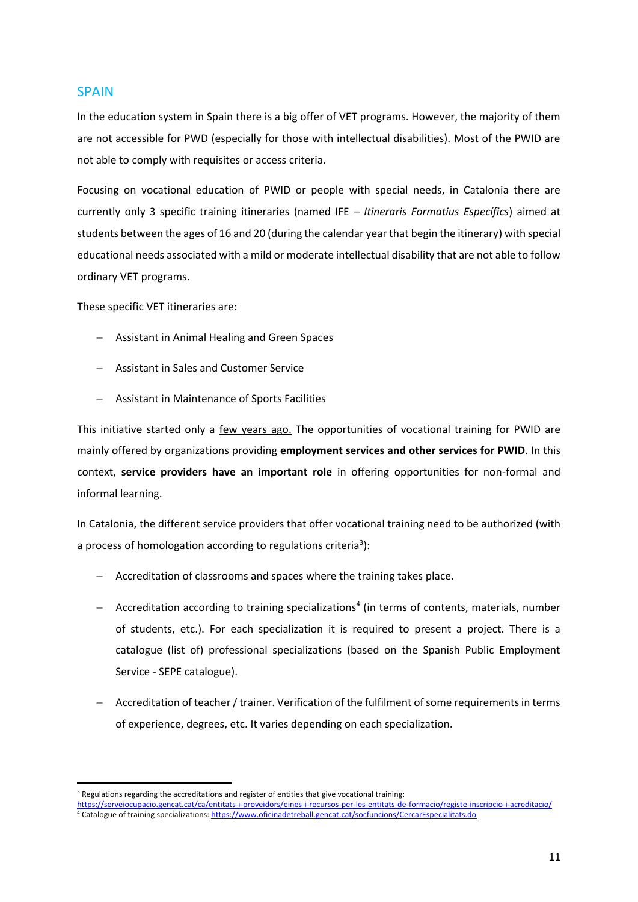### <span id="page-11-0"></span>**SPAIN**

In the education system in Spain there is a big offer of VET programs. However, the majority of them are not accessible for PWD (especially for those with intellectual disabilities). Most of the PWID are not able to comply with requisites or access criteria.

Focusing on vocational education of PWID or people with special needs, in Catalonia there are currently only 3 specific training itineraries (named IFE – *Itineraris Formatius Específics*) aimed at students between the ages of 16 and 20 (during the calendar year that begin the itinerary) with special educational needs associated with a mild or moderate intellectual disability that are not able to follow ordinary VET programs.

These specific VET itineraries are:

- − Assistant in Animal Healing and Green Spaces
- − Assistant in Sales and Customer Service
- − Assistant in Maintenance of Sports Facilities

This initiative started only a few years ago. The opportunities of vocational training for PWID are mainly offered by organizations providing **employment services and other services for PWID**. In this context, **service providers have an important role** in offering opportunities for non-formal and informal learning.

In Catalonia, the different service providers that offer vocational training need to be authorized (with a process of homologation according to regulations criteria<sup>3</sup>):

- − Accreditation of classrooms and spaces where the training takes place.
- − Accreditation according to training specializations<sup>4</sup> (in terms of contents, materials, number of students, etc.). For each specialization it is required to present a project. There is a catalogue (list of) professional specializations (based on the Spanish Public Employment Service - SEPE catalogue).
- − Accreditation of teacher / trainer. Verification of the fulfilment of some requirements in terms of experience, degrees, etc. It varies depending on each specialization.

 $3$  Regulations regarding the accreditations and register of entities that give vocational training:

<https://serveiocupacio.gencat.cat/ca/entitats-i-proveidors/eines-i-recursos-per-les-entitats-de-formacio/registe-inscripcio-i-acreditacio/> <sup>4</sup> Catalogue of training specializations[: https://www.oficinadetreball.gencat.cat/socfuncions/CercarEspecialitats.do](https://www.oficinadetreball.gencat.cat/socfuncions/CercarEspecialitats.do)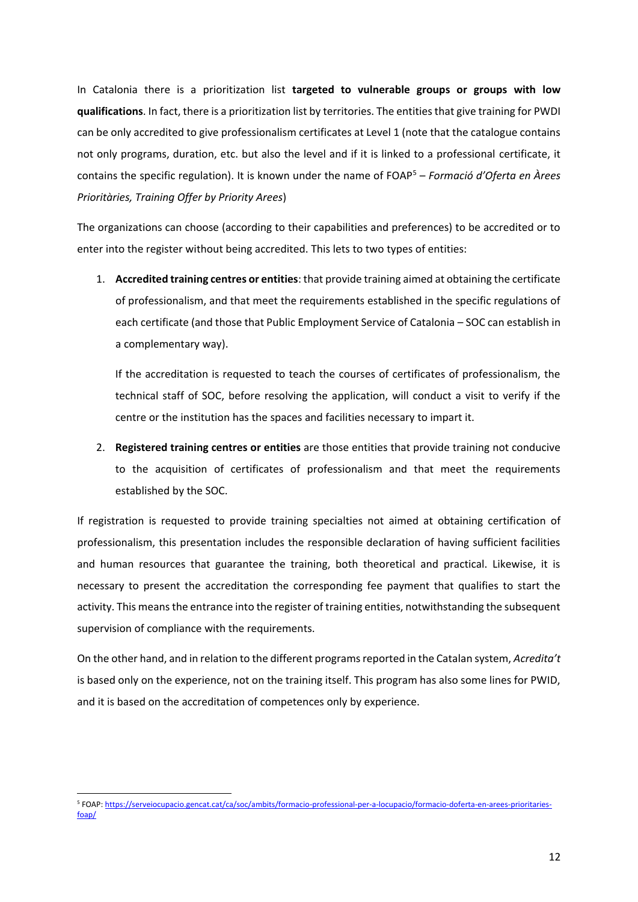In Catalonia there is a prioritization list **targeted to vulnerable groups or groups with low qualifications**. In fact, there is a prioritization list by territories. The entities that give training for PWDI can be only accredited to give professionalism certificates at Level 1 (note that the catalogue contains not only programs, duration, etc. but also the level and if it is linked to a professional certificate, it contains the specific regulation). It is known under the name of FOAP<sup>5</sup> – *Formació d'Oferta en Àrees Prioritàries, Training Offer by Priority Arees*)

The organizations can choose (according to their capabilities and preferences) to be accredited or to enter into the register without being accredited. This lets to two types of entities:

1. **Accredited training centres or entities**: that provide training aimed at obtaining the certificate of professionalism, and that meet the requirements established in the specific regulations of each certificate (and those that Public Employment Service of Catalonia – SOC can establish in a complementary way).

If the accreditation is requested to teach the courses of certificates of professionalism, the technical staff of SOC, before resolving the application, will conduct a visit to verify if the centre or the institution has the spaces and facilities necessary to impart it.

2. **Registered training centres or entities** are those entities that provide training not conducive to the acquisition of certificates of professionalism and that meet the requirements established by the SOC.

If registration is requested to provide training specialties not aimed at obtaining certification of professionalism, this presentation includes the responsible declaration of having sufficient facilities and human resources that guarantee the training, both theoretical and practical. Likewise, it is necessary to present the accreditation the corresponding fee payment that qualifies to start the activity. This means the entrance into the register of training entities, notwithstanding the subsequent supervision of compliance with the requirements.

On the other hand, and in relation to the different programs reported in the Catalan system, *Acredita't*  is based only on the experience, not on the training itself. This program has also some lines for PWID, and it is based on the accreditation of competences only by experience.

<sup>5</sup> FOAP[: https://serveiocupacio.gencat.cat/ca/soc/ambits/formacio-professional-per-a-locupacio/formacio-doferta-en-arees-prioritaries](https://serveiocupacio.gencat.cat/ca/soc/ambits/formacio-professional-per-a-locupacio/formacio-doferta-en-arees-prioritaries-foap/)[foap/](https://serveiocupacio.gencat.cat/ca/soc/ambits/formacio-professional-per-a-locupacio/formacio-doferta-en-arees-prioritaries-foap/)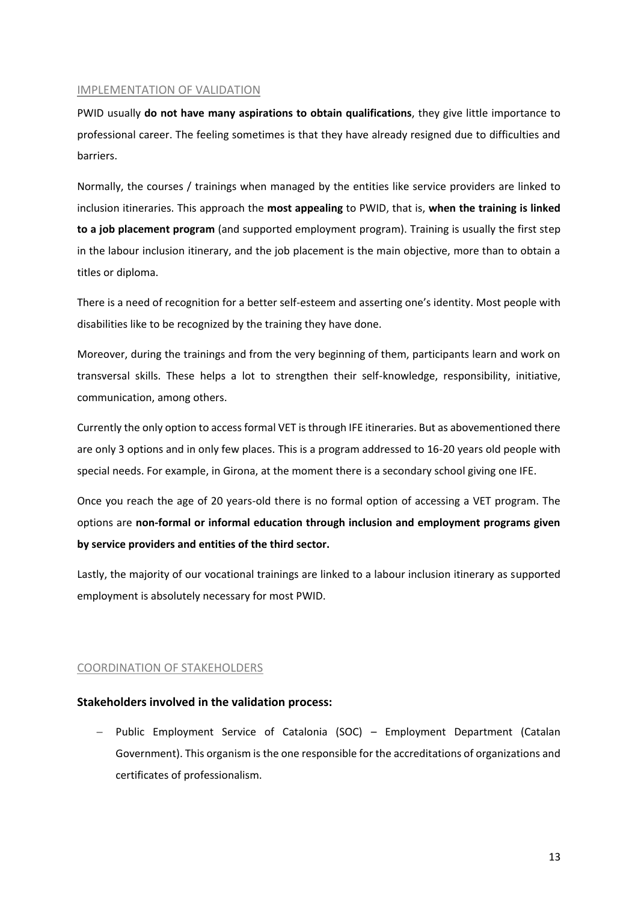### IMPLEMENTATION OF VALIDATION

PWID usually **do not have many aspirations to obtain qualifications**, they give little importance to professional career. The feeling sometimes is that they have already resigned due to difficulties and barriers.

Normally, the courses / trainings when managed by the entities like service providers are linked to inclusion itineraries. This approach the **most appealing** to PWID, that is, **when the training is linked to a job placement program** (and supported employment program). Training is usually the first step in the labour inclusion itinerary, and the job placement is the main objective, more than to obtain a titles or diploma.

There is a need of recognition for a better self-esteem and asserting one's identity. Most people with disabilities like to be recognized by the training they have done.

Moreover, during the trainings and from the very beginning of them, participants learn and work on transversal skills. These helps a lot to strengthen their self-knowledge, responsibility, initiative, communication, among others.

Currently the only option to access formal VET is through IFE itineraries. But as abovementioned there are only 3 options and in only few places. This is a program addressed to 16-20 years old people with special needs. For example, in Girona, at the moment there is a secondary school giving one IFE.

Once you reach the age of 20 years-old there is no formal option of accessing a VET program. The options are **non-formal or informal education through inclusion and employment programs given by service providers and entities of the third sector.**

Lastly, the majority of our vocational trainings are linked to a labour inclusion itinerary as supported employment is absolutely necessary for most PWID.

#### COORDINATION OF STAKEHOLDERS

#### **Stakeholders involved in the validation process:**

− Public Employment Service of Catalonia (SOC) – Employment Department (Catalan Government). This organism is the one responsible for the accreditations of organizations and certificates of professionalism.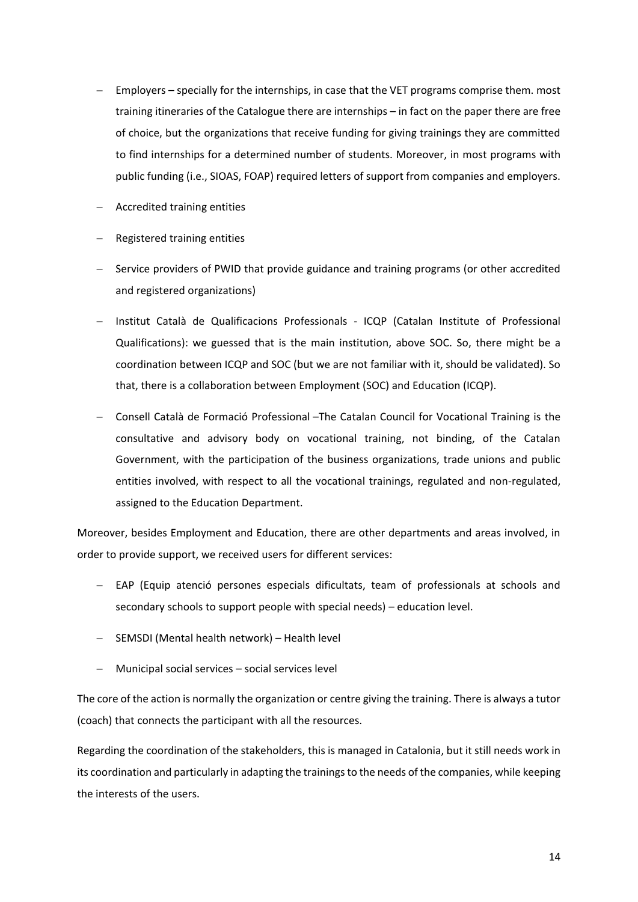- Employers specially for the internships, in case that the VET programs comprise them. most training itineraries of the Catalogue there are internships – in fact on the paper there are free of choice, but the organizations that receive funding for giving trainings they are committed to find internships for a determined number of students. Moreover, in most programs with public funding (i.e., SIOAS, FOAP) required letters of support from companies and employers.
- − Accredited training entities
- − Registered training entities
- − Service providers of PWID that provide guidance and training programs (or other accredited and registered organizations)
- − Institut Català de Qualificacions Professionals ICQP (Catalan Institute of Professional Qualifications): we guessed that is the main institution, above SOC. So, there might be a coordination between ICQP and SOC (but we are not familiar with it, should be validated). So that, there is a collaboration between Employment (SOC) and Education (ICQP).
- − Consell Català de Formació Professional –The Catalan Council for Vocational Training is the consultative and advisory body on vocational training, not binding, of the Catalan Government, with the participation of the business organizations, trade unions and public entities involved, with respect to all the vocational trainings, regulated and non-regulated, assigned to the Education Department.

Moreover, besides Employment and Education, there are other departments and areas involved, in order to provide support, we received users for different services:

- − EAP (Equip atenció persones especials dificultats, team of professionals at schools and secondary schools to support people with special needs) – education level.
- − SEMSDI (Mental health network) Health level
- − Municipal social services social services level

The core of the action is normally the organization or centre giving the training. There is always a tutor (coach) that connects the participant with all the resources.

Regarding the coordination of the stakeholders, this is managed in Catalonia, but it still needs work in its coordination and particularly in adapting the trainingsto the needs of the companies, while keeping the interests of the users.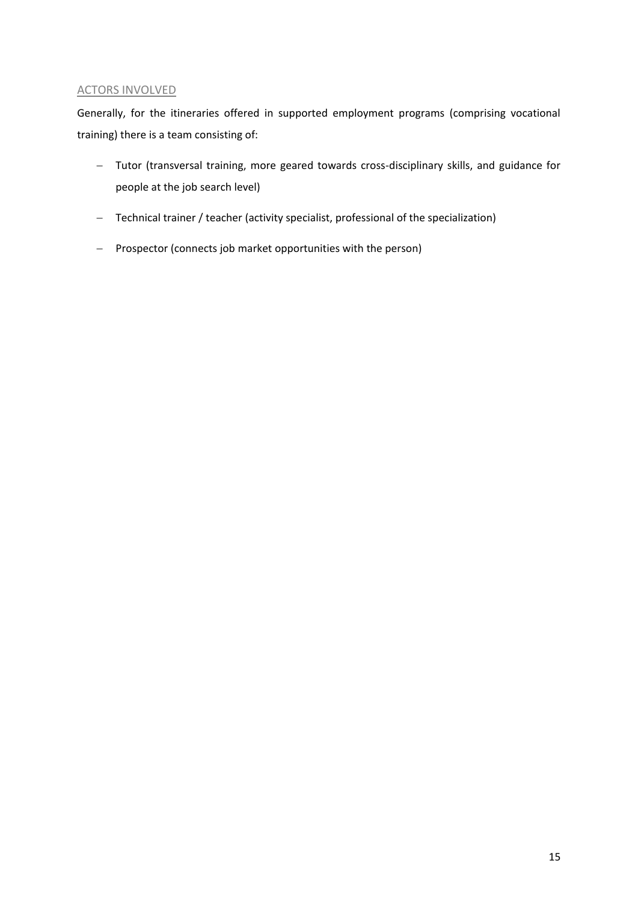## ACTORS INVOLVED

Generally, for the itineraries offered in supported employment programs (comprising vocational training) there is a team consisting of:

- − Tutor (transversal training, more geared towards cross-disciplinary skills, and guidance for people at the job search level)
- − Technical trainer / teacher (activity specialist, professional of the specialization)
- − Prospector (connects job market opportunities with the person)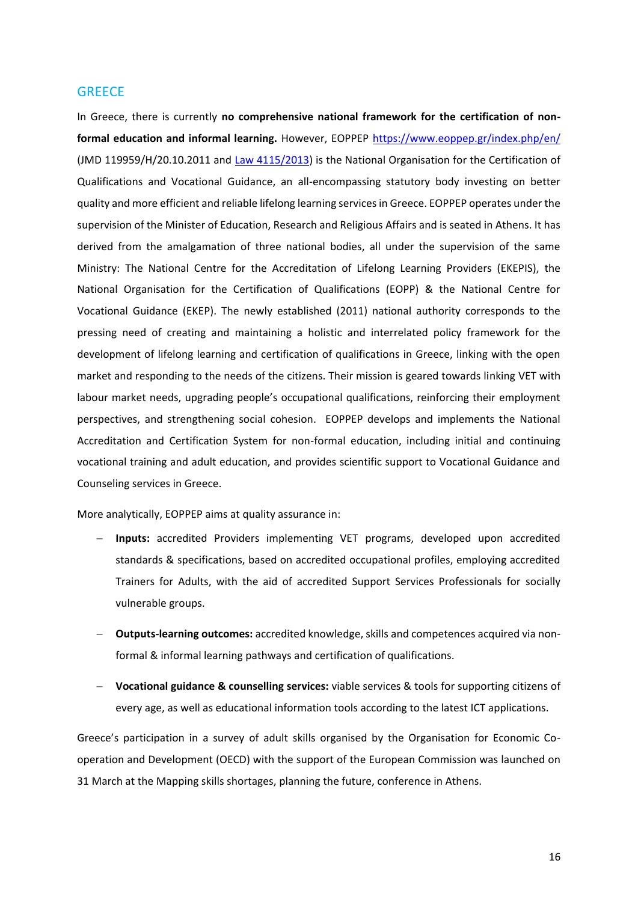### <span id="page-16-0"></span>**GREECE**

In Greece, there is currently **no comprehensive national framework for the certification of nonformal education and informal learning.** However, EOPPEP<https://www.eoppep.gr/index.php/en/> (JMD 119959/H/20.10.2011 and [Law 4115/2013\)](https://bit.ly/J77ooZ) is the National Organisation for the Certification of Qualifications and Vocational Guidance, an all-encompassing statutory body investing on better quality and more efficient and reliable lifelong learning services in Greece. EOPPEP operates under the supervision of the Minister of Education, Research and Religious Affairs and is seated in Athens. It has derived from the amalgamation of three national bodies, all under the supervision of the same Ministry: The National Centre for the Accreditation of Lifelong Learning Providers (EKEPIS), the National Organisation for the Certification of Qualifications (EOPP) & the National Centre for Vocational Guidance (EKEP). The newly established (2011) national authority corresponds to the pressing need of creating and maintaining a holistic and interrelated policy framework for the development of lifelong learning and certification of qualifications in Greece, linking with the open market and responding to the needs of the citizens. Their mission is geared towards linking VET with labour market needs, upgrading people's occupational qualifications, reinforcing their employment perspectives, and strengthening social cohesion. EOPPEP develops and implements the National Accreditation and Certification System for non-formal education, including initial and continuing vocational training and adult education, and provides scientific support to Vocational Guidance and Counseling services in Greece.

More analytically, EOPPEP aims at quality assurance in:

- − **Inputs:** accredited Providers implementing VET programs, developed upon accredited standards & specifications, based on accredited occupational profiles, employing accredited Trainers for Adults, with the aid of accredited Support Services Professionals for socially vulnerable groups.
- − **Outputs-learning outcomes:** accredited knowledge, skills and competences acquired via nonformal & informal learning pathways and certification of qualifications.
- − **Vocational guidance & counselling services:** viable services & tools for supporting citizens of every age, as well as educational information tools according to the latest ICT applications.

Greece's participation in a survey of adult skills organised by the Organisation for Economic Cooperation and Development (OECD) with the support of the European Commission was launched on 31 March at the Mapping skills shortages, planning the future, conference in Athens.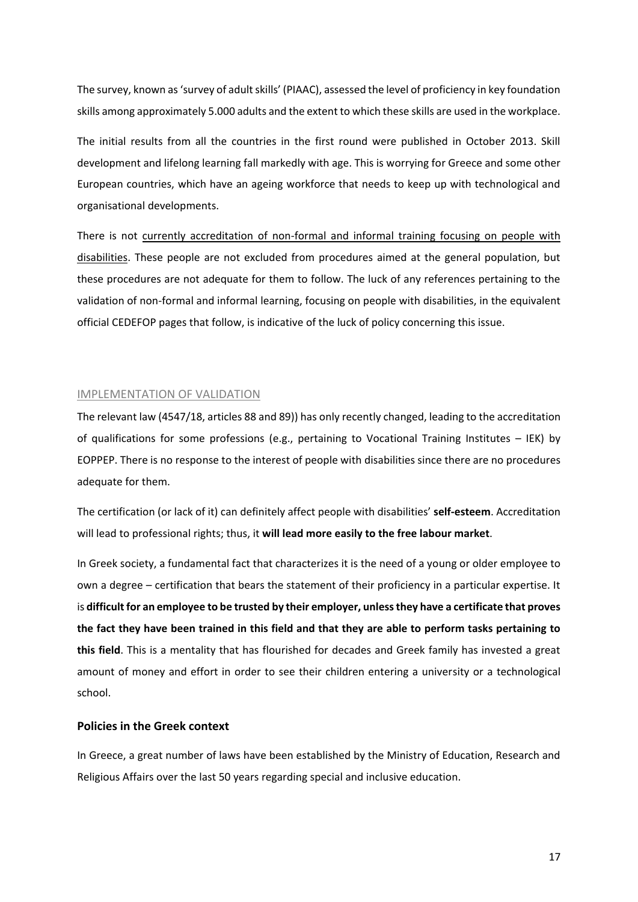The survey, known as 'survey of adult skills' (PIAAC), assessed the level of proficiency in key foundation skills among approximately 5.000 adults and the extent to which these skills are used in the workplace.

The initial results from all the countries in the first round were published in October 2013. Skill development and lifelong learning fall markedly with age. This is worrying for Greece and some other European countries, which have an ageing workforce that needs to keep up with technological and organisational developments.

There is not currently accreditation of non-formal and informal training focusing on people with disabilities. These people are not excluded from procedures aimed at the general population, but these procedures are not adequate for them to follow. The luck of any references pertaining to the validation of non-formal and informal learning, focusing on people with disabilities, in the equivalent official CEDEFOP pages that follow, is indicative of the luck of policy concerning this issue.

#### IMPLEMENTATION OF VALIDATION

The relevant law (4547/18, articles 88 and 89)) has only recently changed, leading to the accreditation of qualifications for some professions (e.g., pertaining to Vocational Training Institutes – IEK) by EOPPEP. There is no response to the interest of people with disabilities since there are no procedures adequate for them.

The certification (or lack of it) can definitely affect people with disabilities' **self-esteem**. Accreditation will lead to professional rights; thus, it **will lead more easily to the free labour market**.

In Greek society, a fundamental fact that characterizes it is the need of a young or older employee to own a degree – certification that bears the statement of their proficiency in a particular expertise. It is **difficult for an employee to be trusted by their employer, unless they have a certificate that proves the fact they have been trained in this field and that they are able to perform tasks pertaining to this field**. This is a mentality that has flourished for decades and Greek family has invested a great amount of money and effort in order to see their children entering a university or a technological school.

### **Policies in the Greek context**

In Greece, a great number of laws have been established by the Ministry of Education, Research and Religious Affairs over the last 50 years regarding special and inclusive education.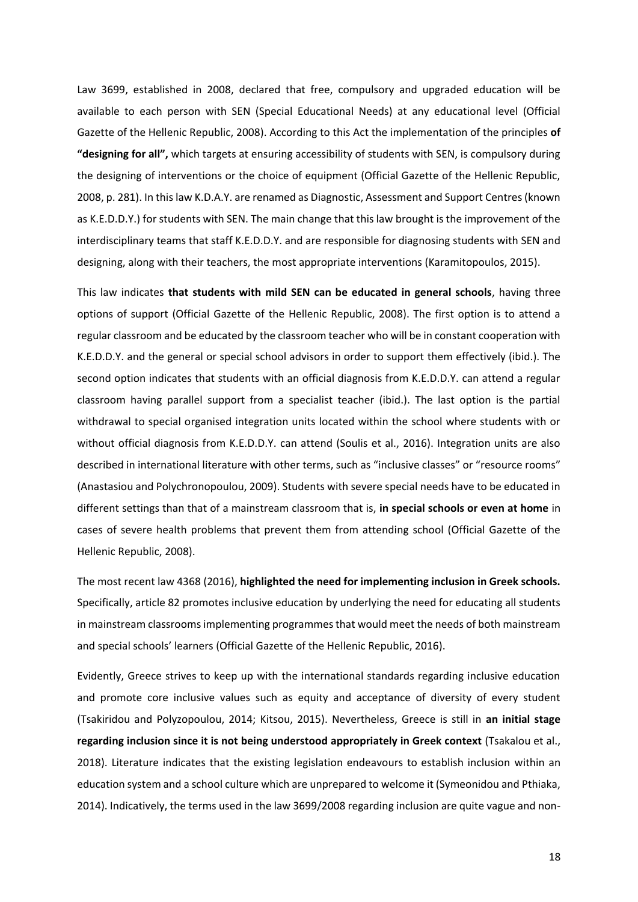Law 3699, established in 2008, declared that free, compulsory and upgraded education will be available to each person with SEN (Special Educational Needs) at any educational level (Official Gazette of the Hellenic Republic, 2008). According to this Act the implementation of the principles **of "designing for all",** which targets at ensuring accessibility of students with SEN, is compulsory during the designing of interventions or the choice of equipment (Official Gazette of the Hellenic Republic, 2008, p. 281). In this law K.D.A.Y. are renamed as Diagnostic, Assessment and Support Centres (known as K.E.D.D.Y.) for students with SEN. The main change that this law brought is the improvement of the interdisciplinary teams that staff K.E.D.D.Y. and are responsible for diagnosing students with SEN and designing, along with their teachers, the most appropriate interventions (Karamitopoulos, 2015).

This law indicates **that students with mild SEN can be educated in general schools**, having three options of support (Official Gazette of the Hellenic Republic, 2008). The first option is to attend a regular classroom and be educated by the classroom teacher who will be in constant cooperation with K.E.D.D.Y. and the general or special school advisors in order to support them effectively (ibid.). The second option indicates that students with an official diagnosis from K.E.D.D.Y. can attend a regular classroom having parallel support from a specialist teacher (ibid.). The last option is the partial withdrawal to special organised integration units located within the school where students with or without official diagnosis from K.E.D.D.Y. can attend (Soulis et al., 2016). Integration units are also described in international literature with other terms, such as "inclusive classes" or "resource rooms" (Anastasiou and Polychronopoulou, 2009). Students with severe special needs have to be educated in different settings than that of a mainstream classroom that is, **in special schools or even at home** in cases of severe health problems that prevent them from attending school (Official Gazette of the Hellenic Republic, 2008).

The most recent law 4368 (2016), **highlighted the need for implementing inclusion in Greek schools.** Specifically, article 82 promotes inclusive education by underlying the need for educating all students in mainstream classrooms implementing programmes that would meet the needs of both mainstream and special schools' learners (Official Gazette of the Hellenic Republic, 2016).

Evidently, Greece strives to keep up with the international standards regarding inclusive education and promote core inclusive values such as equity and acceptance of diversity of every student (Tsakiridou and Polyzopoulou, 2014; Kitsou, 2015). Nevertheless, Greece is still in **an initial stage regarding inclusion since it is not being understood appropriately in Greek context** (Tsakalou et al., 2018). Literature indicates that the existing legislation endeavours to establish inclusion within an education system and a school culture which are unprepared to welcome it (Symeonidou and Pthiaka, 2014). Indicatively, the terms used in the law 3699/2008 regarding inclusion are quite vague and non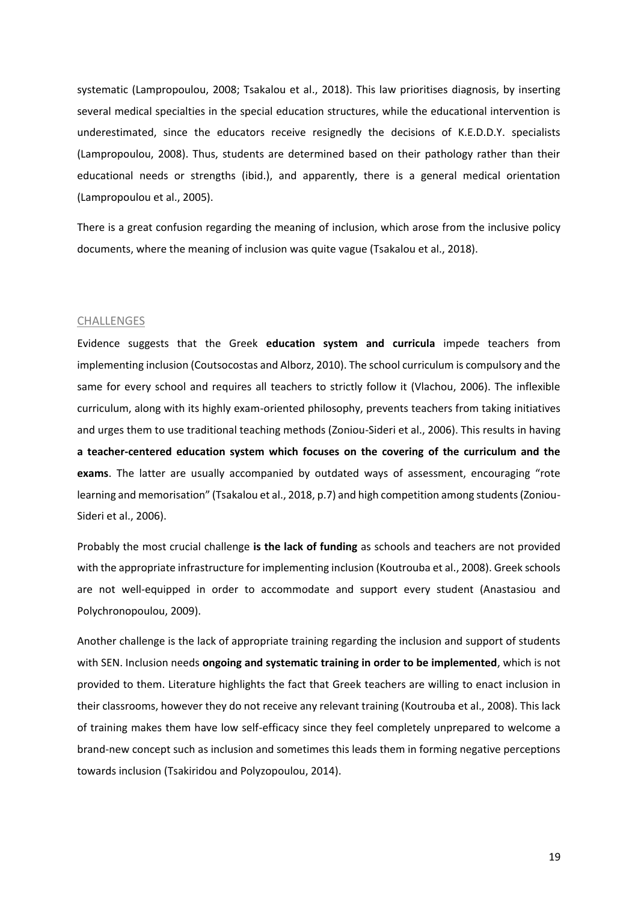systematic (Lampropoulou, 2008; Tsakalou et al., 2018). This law prioritises diagnosis, by inserting several medical specialties in the special education structures, while the educational intervention is underestimated, since the educators receive resignedly the decisions of K.E.D.D.Y. specialists (Lampropoulou, 2008). Thus, students are determined based on their pathology rather than their educational needs or strengths (ibid.), and apparently, there is a general medical orientation (Lampropoulou et al., 2005).

There is a great confusion regarding the meaning of inclusion, which arose from the inclusive policy documents, where the meaning of inclusion was quite vague (Tsakalou et al., 2018).

#### **CHALLENGES**

Evidence suggests that the Greek **education system and curricula** impede teachers from implementing inclusion (Coutsocostas and Alborz, 2010). The school curriculum is compulsory and the same for every school and requires all teachers to strictly follow it (Vlachou, 2006). The inflexible curriculum, along with its highly exam-oriented philosophy, prevents teachers from taking initiatives and urges them to use traditional teaching methods (Zoniou-Sideri et al., 2006). This results in having **a teacher-centered education system which focuses on the covering of the curriculum and the exams**. The latter are usually accompanied by outdated ways of assessment, encouraging "rote learning and memorisation" (Tsakalou et al., 2018, p.7) and high competition among students (Zoniou-Sideri et al., 2006).

Probably the most crucial challenge **is the lack of funding** as schools and teachers are not provided with the appropriate infrastructure for implementing inclusion (Koutrouba et al., 2008). Greek schools are not well-equipped in order to accommodate and support every student (Anastasiou and Polychronopoulou, 2009).

Another challenge is the lack of appropriate training regarding the inclusion and support of students with SEN. Inclusion needs **ongoing and systematic training in order to be implemented**, which is not provided to them. Literature highlights the fact that Greek teachers are willing to enact inclusion in their classrooms, however they do not receive any relevant training (Koutrouba et al., 2008). This lack of training makes them have low self-efficacy since they feel completely unprepared to welcome a brand-new concept such as inclusion and sometimes this leads them in forming negative perceptions towards inclusion (Tsakiridou and Polyzopoulou, 2014).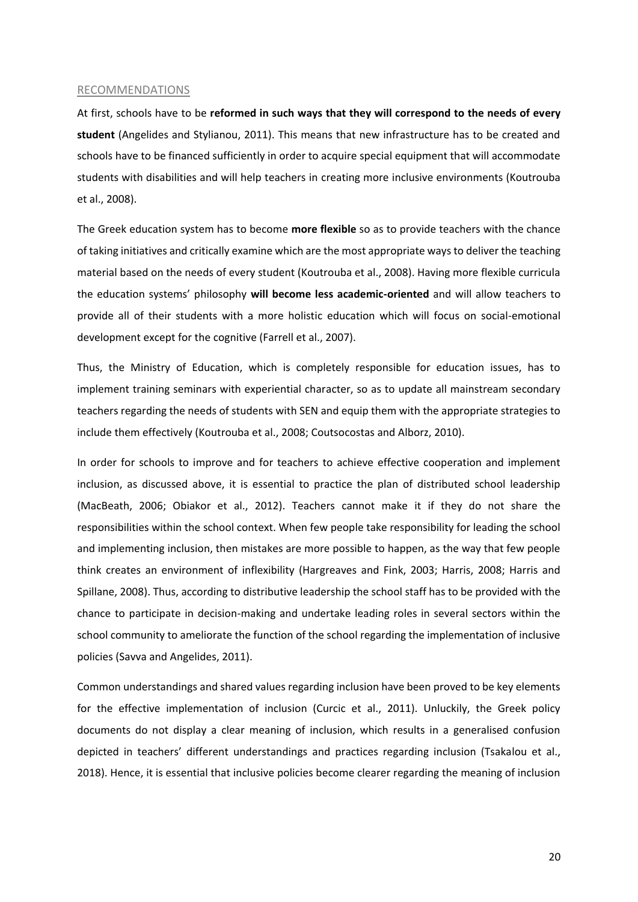#### RECOMMENDATIONS

At first, schools have to be **reformed in such ways that they will correspond to the needs of every student** (Angelides and Stylianou, 2011). This means that new infrastructure has to be created and schools have to be financed sufficiently in order to acquire special equipment that will accommodate students with disabilities and will help teachers in creating more inclusive environments (Koutrouba et al., 2008).

The Greek education system has to become **more flexible** so as to provide teachers with the chance of taking initiatives and critically examine which are the most appropriate ways to deliver the teaching material based on the needs of every student (Koutrouba et al., 2008). Having more flexible curricula the education systems' philosophy **will become less academic-oriented** and will allow teachers to provide all of their students with a more holistic education which will focus on social-emotional development except for the cognitive (Farrell et al., 2007).

Thus, the Ministry of Education, which is completely responsible for education issues, has to implement training seminars with experiential character, so as to update all mainstream secondary teachers regarding the needs of students with SEN and equip them with the appropriate strategies to include them effectively (Koutrouba et al., 2008; Coutsocostas and Alborz, 2010).

In order for schools to improve and for teachers to achieve effective cooperation and implement inclusion, as discussed above, it is essential to practice the plan of distributed school leadership (MacBeath, 2006; Obiakor et al., 2012). Teachers cannot make it if they do not share the responsibilities within the school context. When few people take responsibility for leading the school and implementing inclusion, then mistakes are more possible to happen, as the way that few people think creates an environment of inflexibility (Hargreaves and Fink, 2003; Harris, 2008; Harris and Spillane, 2008). Thus, according to distributive leadership the school staff has to be provided with the chance to participate in decision-making and undertake leading roles in several sectors within the school community to ameliorate the function of the school regarding the implementation of inclusive policies (Savva and Angelides, 2011).

Common understandings and shared values regarding inclusion have been proved to be key elements for the effective implementation of inclusion (Curcic et al., 2011). Unluckily, the Greek policy documents do not display a clear meaning of inclusion, which results in a generalised confusion depicted in teachers' different understandings and practices regarding inclusion (Tsakalou et al., 2018). Hence, it is essential that inclusive policies become clearer regarding the meaning of inclusion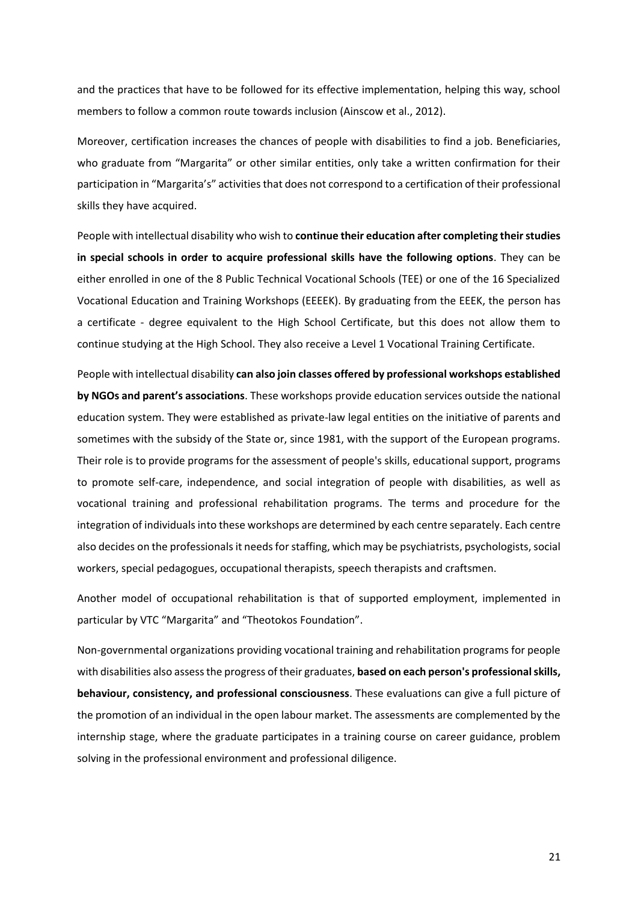and the practices that have to be followed for its effective implementation, helping this way, school members to follow a common route towards inclusion (Ainscow et al., 2012).

Moreover, certification increases the chances of people with disabilities to find a job. Beneficiaries, who graduate from "Margarita" or other similar entities, only take a written confirmation for their participation in "Margarita's" activities that does not correspond to a certification of their professional skills they have acquired.

People with intellectual disability who wish to **continue their education after completing their studies in special schools in order to acquire professional skills have the following options**. They can be either enrolled in one of the 8 Public Technical Vocational Schools (TEE) or one of the 16 Specialized Vocational Education and Training Workshops (EEEEK). By graduating from the EEEK, the person has a certificate - degree equivalent to the High School Certificate, but this does not allow them to continue studying at the High School. They also receive a Level 1 Vocational Training Certificate.

People with intellectual disability **can also join classes offered by professional workshops established by NGOs and parent's associations**. These workshops provide education services outside the national education system. They were established as private-law legal entities on the initiative of parents and sometimes with the subsidy of the State or, since 1981, with the support of the European programs. Their role is to provide programs for the assessment of people's skills, educational support, programs to promote self-care, independence, and social integration of people with disabilities, as well as vocational training and professional rehabilitation programs. The terms and procedure for the integration of individuals into these workshops are determined by each centre separately. Each centre also decides on the professionals it needs for staffing, which may be psychiatrists, psychologists, social workers, special pedagogues, occupational therapists, speech therapists and craftsmen.

Another model of occupational rehabilitation is that of supported employment, implemented in particular by VTC "Margarita" and "Theotokos Foundation".

Non-governmental organizations providing vocational training and rehabilitation programs for people with disabilities also assess the progress of their graduates, **based on each person's professional skills, behaviour, consistency, and professional consciousness**. These evaluations can give a full picture of the promotion of an individual in the open labour market. The assessments are complemented by the internship stage, where the graduate participates in a training course on career guidance, problem solving in the professional environment and professional diligence.

21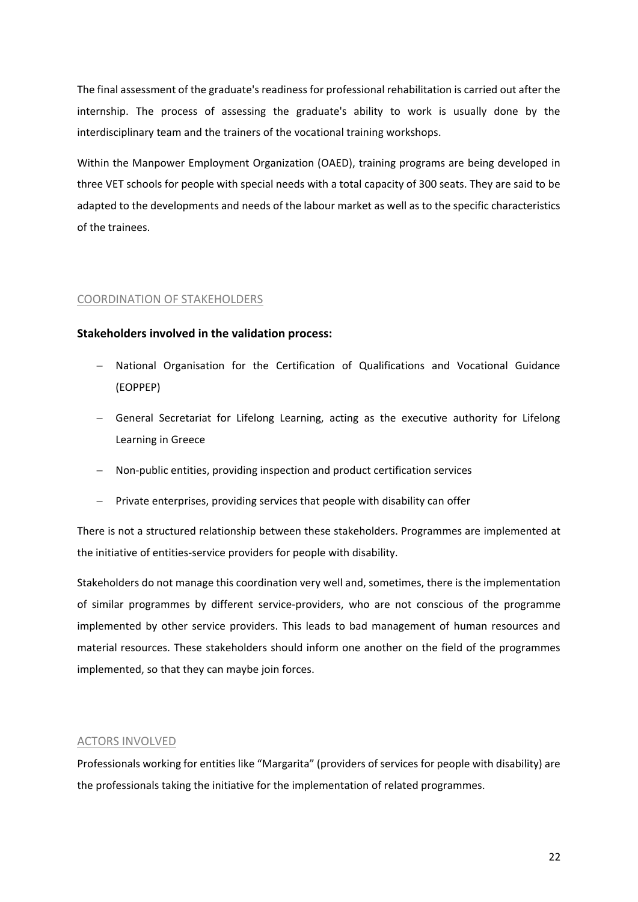The final assessment of the graduate's readiness for professional rehabilitation is carried out after the internship. The process of assessing the graduate's ability to work is usually done by the interdisciplinary team and the trainers of the vocational training workshops.

Within the Manpower Employment Organization (OAED), training programs are being developed in three VET schools for people with special needs with a total capacity of 300 seats. They are said to be adapted to the developments and needs of the labour market as well as to the specific characteristics of the trainees.

#### COORDINATION OF STAKEHOLDERS

### **Stakeholders involved in the validation process:**

- − National Organisation for the Certification of Qualifications and Vocational Guidance (EOPPEP)
- − General Secretariat for Lifelong Learning, acting as the executive authority for Lifelong Learning in Greece
- − Non-public entities, providing inspection and product certification services
- − Private enterprises, providing services that people with disability can offer

There is not a structured relationship between these stakeholders. Programmes are implemented at the initiative of entities-service providers for people with disability.

Stakeholders do not manage this coordination very well and, sometimes, there is the implementation of similar programmes by different service-providers, who are not conscious of the programme implemented by other service providers. This leads to bad management of human resources and material resources. These stakeholders should inform one another on the field of the programmes implemented, so that they can maybe join forces.

#### ACTORS INVOLVED

Professionals working for entities like "Margarita" (providers of services for people with disability) are the professionals taking the initiative for the implementation of related programmes.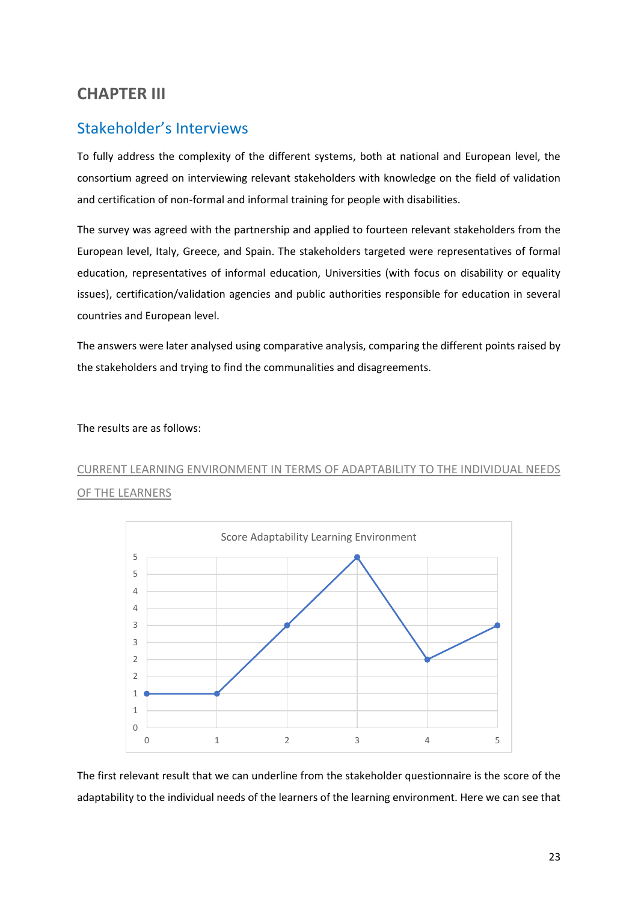# <span id="page-23-0"></span>**CHAPTER III**

# <span id="page-23-1"></span>Stakeholder's Interviews

To fully address the complexity of the different systems, both at national and European level, the consortium agreed on interviewing relevant stakeholders with knowledge on the field of validation and certification of non-formal and informal training for people with disabilities.

The survey was agreed with the partnership and applied to fourteen relevant stakeholders from the European level, Italy, Greece, and Spain. The stakeholders targeted were representatives of formal education, representatives of informal education, Universities (with focus on disability or equality issues), certification/validation agencies and public authorities responsible for education in several countries and European level.

The answers were later analysed using comparative analysis, comparing the different points raised by the stakeholders and trying to find the communalities and disagreements.

#### The results are as follows:

# CURRENT LEARNING ENVIRONMENT IN TERMS OF ADAPTABILITY TO THE INDIVIDUAL NEEDS OF THE LEARNERS



The first relevant result that we can underline from the stakeholder questionnaire is the score of the adaptability to the individual needs of the learners of the learning environment. Here we can see that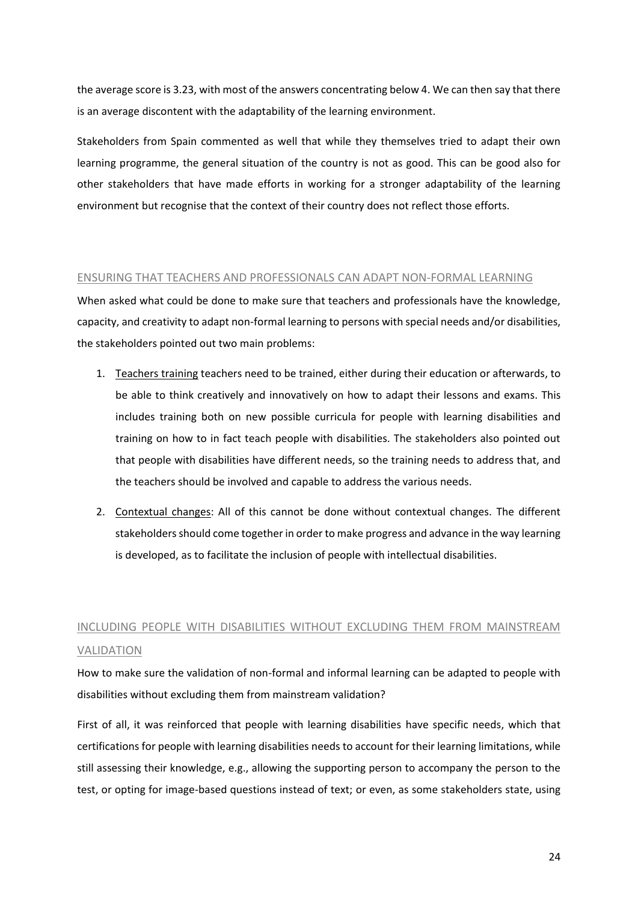the average score is 3.23, with most of the answers concentrating below 4. We can then say that there is an average discontent with the adaptability of the learning environment.

Stakeholders from Spain commented as well that while they themselves tried to adapt their own learning programme, the general situation of the country is not as good. This can be good also for other stakeholders that have made efforts in working for a stronger adaptability of the learning environment but recognise that the context of their country does not reflect those efforts.

### ENSURING THAT TEACHERS AND PROFESSIONALS CAN ADAPT NON-FORMAL LEARNING

When asked what could be done to make sure that teachers and professionals have the knowledge, capacity, and creativity to adapt non-formal learning to persons with special needs and/or disabilities, the stakeholders pointed out two main problems:

- 1. Teachers training teachers need to be trained, either during their education or afterwards, to be able to think creatively and innovatively on how to adapt their lessons and exams. This includes training both on new possible curricula for people with learning disabilities and training on how to in fact teach people with disabilities. The stakeholders also pointed out that people with disabilities have different needs, so the training needs to address that, and the teachers should be involved and capable to address the various needs.
- 2. Contextual changes: All of this cannot be done without contextual changes. The different stakeholders should come together in order to make progress and advance in the way learning is developed, as to facilitate the inclusion of people with intellectual disabilities.

# INCLUDING PEOPLE WITH DISABILITIES WITHOUT EXCLUDING THEM FROM MAINSTREAM VALIDATION

How to make sure the validation of non-formal and informal learning can be adapted to people with disabilities without excluding them from mainstream validation?

First of all, it was reinforced that people with learning disabilities have specific needs, which that certifications for people with learning disabilities needs to account for their learning limitations, while still assessing their knowledge, e.g., allowing the supporting person to accompany the person to the test, or opting for image-based questions instead of text; or even, as some stakeholders state, using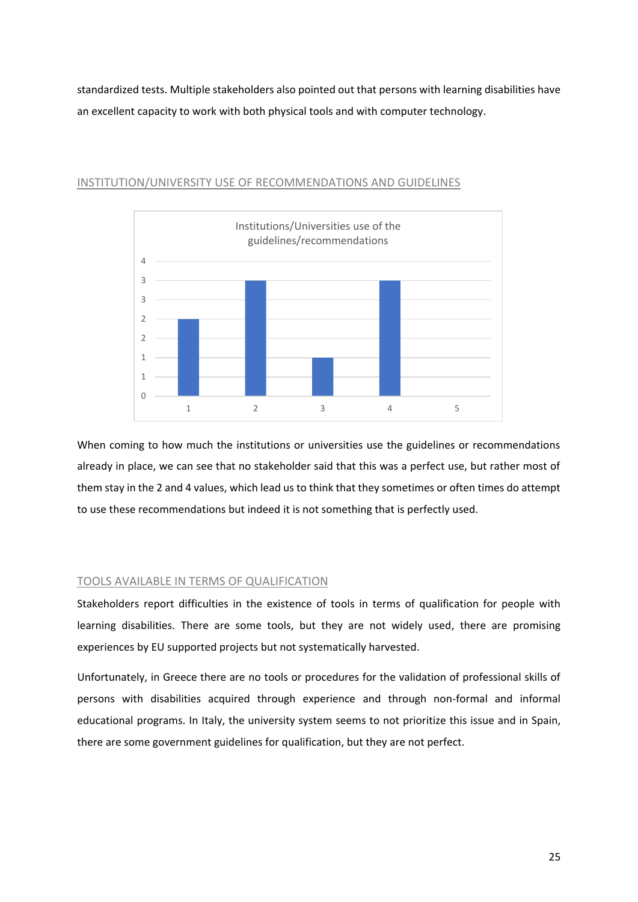standardized tests. Multiple stakeholders also pointed out that persons with learning disabilities have an excellent capacity to work with both physical tools and with computer technology.



#### INSTITUTION/UNIVERSITY USE OF RECOMMENDATIONS AND GUIDELINES

When coming to how much the institutions or universities use the guidelines or recommendations already in place, we can see that no stakeholder said that this was a perfect use, but rather most of them stay in the 2 and 4 values, which lead us to think that they sometimes or often times do attempt to use these recommendations but indeed it is not something that is perfectly used.

#### TOOLS AVAILABLE IN TERMS OF QUALIFICATION

Stakeholders report difficulties in the existence of tools in terms of qualification for people with learning disabilities. There are some tools, but they are not widely used, there are promising experiences by EU supported projects but not systematically harvested.

Unfortunately, in Greece there are no tools or procedures for the validation of professional skills of persons with disabilities acquired through experience and through non-formal and informal educational programs. In Italy, the university system seems to not prioritize this issue and in Spain, there are some government guidelines for qualification, but they are not perfect.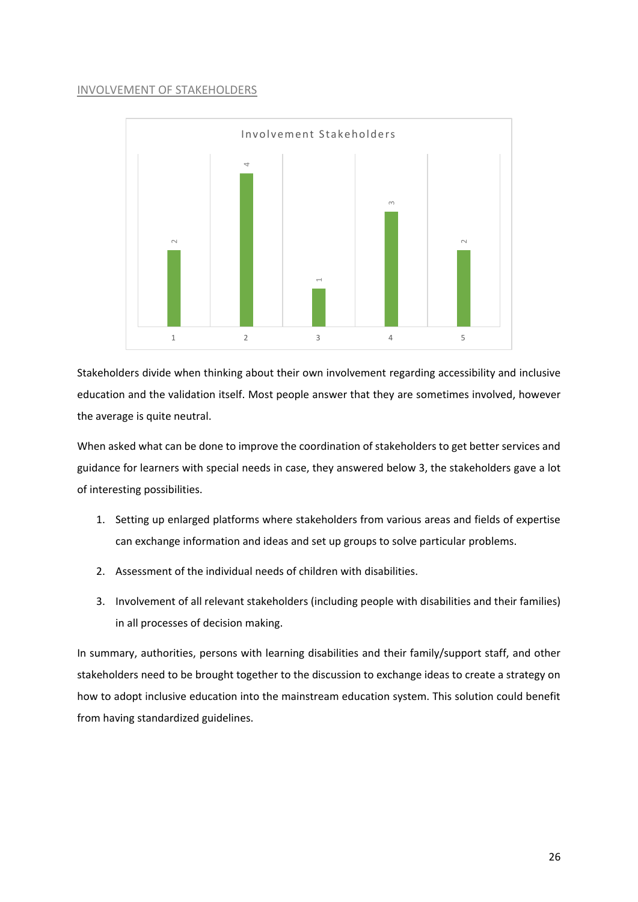### INVOLVEMENT OF STAKEHOLDERS



Stakeholders divide when thinking about their own involvement regarding accessibility and inclusive education and the validation itself. Most people answer that they are sometimes involved, however the average is quite neutral.

When asked what can be done to improve the coordination of stakeholders to get better services and guidance for learners with special needs in case, they answered below 3, the stakeholders gave a lot of interesting possibilities.

- 1. Setting up enlarged platforms where stakeholders from various areas and fields of expertise can exchange information and ideas and set up groups to solve particular problems.
- 2. Assessment of the individual needs of children with disabilities.
- 3. Involvement of all relevant stakeholders (including people with disabilities and their families) in all processes of decision making.

In summary, authorities, persons with learning disabilities and their family/support staff, and other stakeholders need to be brought together to the discussion to exchange ideas to create a strategy on how to adopt inclusive education into the mainstream education system. This solution could benefit from having standardized guidelines.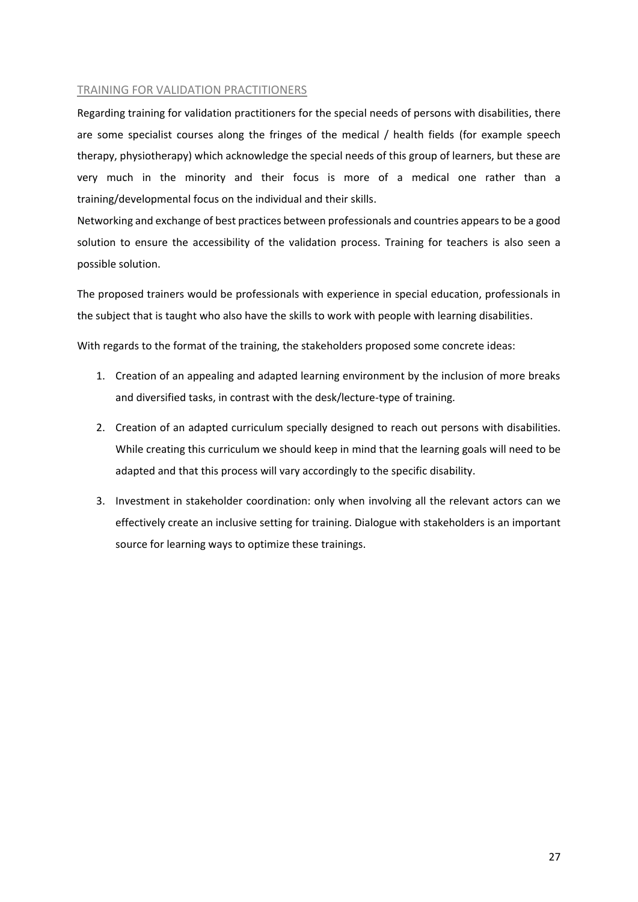### TRAINING FOR VALIDATION PRACTITIONERS

Regarding training for validation practitioners for the special needs of persons with disabilities, there are some specialist courses along the fringes of the medical / health fields (for example speech therapy, physiotherapy) which acknowledge the special needs of this group of learners, but these are very much in the minority and their focus is more of a medical one rather than a training/developmental focus on the individual and their skills.

Networking and exchange of best practices between professionals and countries appears to be a good solution to ensure the accessibility of the validation process. Training for teachers is also seen a possible solution.

The proposed trainers would be professionals with experience in special education, professionals in the subject that is taught who also have the skills to work with people with learning disabilities.

With regards to the format of the training, the stakeholders proposed some concrete ideas:

- 1. Creation of an appealing and adapted learning environment by the inclusion of more breaks and diversified tasks, in contrast with the desk/lecture-type of training.
- 2. Creation of an adapted curriculum specially designed to reach out persons with disabilities. While creating this curriculum we should keep in mind that the learning goals will need to be adapted and that this process will vary accordingly to the specific disability.
- 3. Investment in stakeholder coordination: only when involving all the relevant actors can we effectively create an inclusive setting for training. Dialogue with stakeholders is an important source for learning ways to optimize these trainings.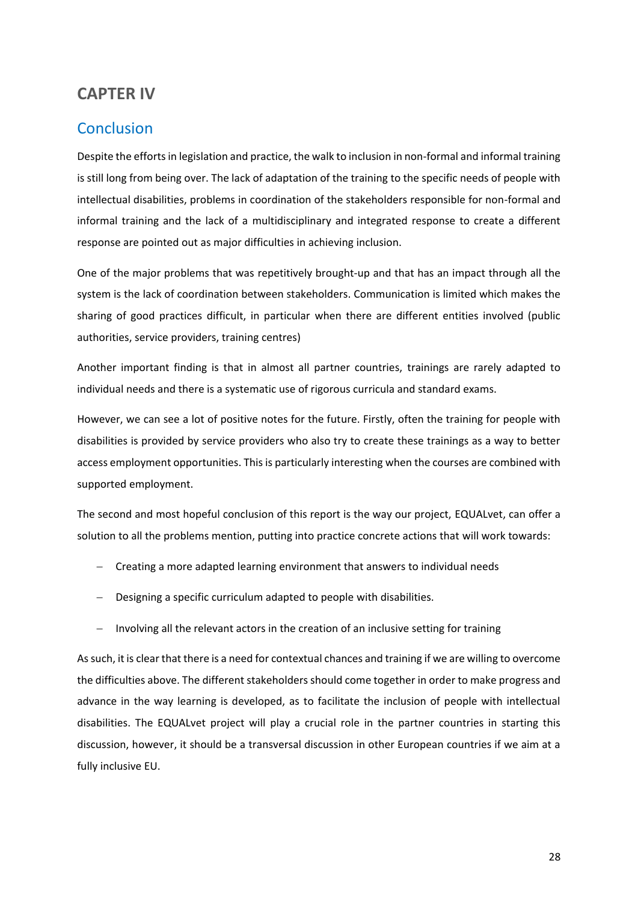# <span id="page-28-0"></span>**CAPTER IV**

# <span id="page-28-1"></span>**Conclusion**

Despite the efforts in legislation and practice, the walk to inclusion in non-formal and informal training is still long from being over. The lack of adaptation of the training to the specific needs of people with intellectual disabilities, problems in coordination of the stakeholders responsible for non-formal and informal training and the lack of a multidisciplinary and integrated response to create a different response are pointed out as major difficulties in achieving inclusion.

One of the major problems that was repetitively brought-up and that has an impact through all the system is the lack of coordination between stakeholders. Communication is limited which makes the sharing of good practices difficult, in particular when there are different entities involved (public authorities, service providers, training centres)

Another important finding is that in almost all partner countries, trainings are rarely adapted to individual needs and there is a systematic use of rigorous curricula and standard exams.

However, we can see a lot of positive notes for the future. Firstly, often the training for people with disabilities is provided by service providers who also try to create these trainings as a way to better access employment opportunities. This is particularly interesting when the courses are combined with supported employment.

The second and most hopeful conclusion of this report is the way our project, EQUALvet, can offer a solution to all the problems mention, putting into practice concrete actions that will work towards:

- − Creating a more adapted learning environment that answers to individual needs
- − Designing a specific curriculum adapted to people with disabilities.
- − Involving all the relevant actors in the creation of an inclusive setting for training

As such, it is clear that there is a need for contextual chances and training if we are willing to overcome the difficulties above. The different stakeholders should come together in order to make progress and advance in the way learning is developed, as to facilitate the inclusion of people with intellectual disabilities. The EQUALvet project will play a crucial role in the partner countries in starting this discussion, however, it should be a transversal discussion in other European countries if we aim at a fully inclusive EU.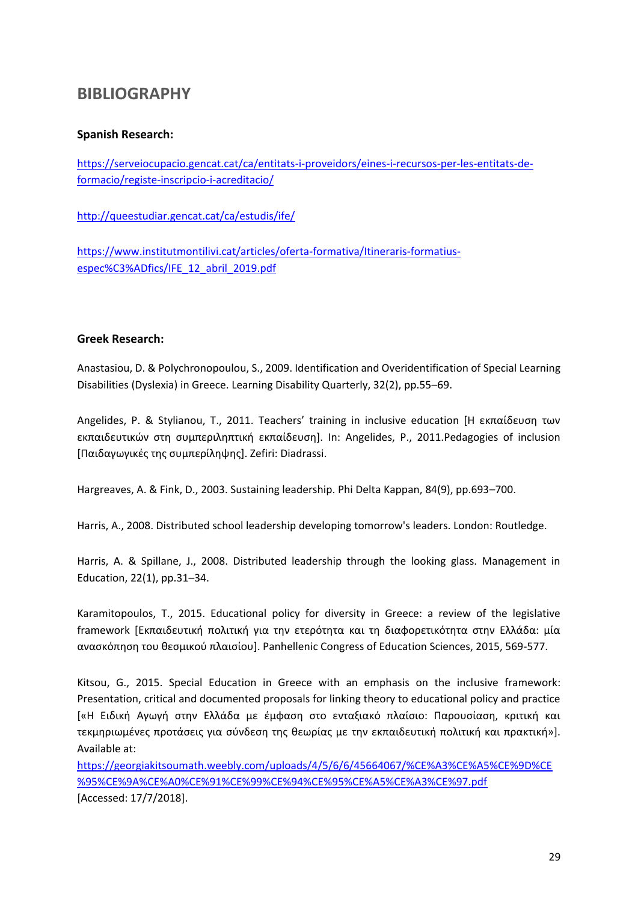# <span id="page-29-0"></span>**BIBLIOGRAPHY**

## **Spanish Research:**

[https://serveiocupacio.gencat.cat/ca/entitats-i-proveidors/eines-i-recursos-per-les-entitats-de](https://serveiocupacio.gencat.cat/ca/entitats-i-proveidors/eines-i-recursos-per-les-entitats-de-formacio/registe-inscripcio-i-acreditacio/)[formacio/registe-inscripcio-i-acreditacio/](https://serveiocupacio.gencat.cat/ca/entitats-i-proveidors/eines-i-recursos-per-les-entitats-de-formacio/registe-inscripcio-i-acreditacio/)

<http://queestudiar.gencat.cat/ca/estudis/ife/>

[https://www.institutmontilivi.cat/articles/oferta-formativa/Itineraris-formatius](https://www.institutmontilivi.cat/articles/oferta-formativa/Itineraris-formatius-específics/IFE_12_abril_2019.pdf)[espec%C3%ADfics/IFE\\_12\\_abril\\_2019.pdf](https://www.institutmontilivi.cat/articles/oferta-formativa/Itineraris-formatius-específics/IFE_12_abril_2019.pdf)

### **Greek Research:**

Anastasiou, D. & Polychronopoulou, S., 2009. Identification and Overidentification of Special Learning Disabilities (Dyslexia) in Greece. Learning Disability Quarterly, 32(2), pp.55–69.

Angelides, P. & Stylianou, T., 2011. Teachers' training in inclusive education [Η εκπαίδευση των εκπαιδευτικών στη συμπεριληπτική εκπαίδευση]. In: Angelides, P., 2011.Pedagogies of inclusion [Παιδαγωγικές της συμπερίληψης]. Zefiri: Diadrassi.

Hargreaves, A. & Fink, D., 2003. Sustaining leadership. Phi Delta Kappan, 84(9), pp.693–700.

Harris, A., 2008. Distributed school leadership developing tomorrow's leaders. London: Routledge.

Harris, A. & Spillane, J., 2008. Distributed leadership through the looking glass. Management in Education, 22(1), pp.31–34.

Karamitopoulos, T., 2015. Educational policy for diversity in Greece: a review of the legislative framework [Εκπαιδευτική πολιτική για την ετερότητα και τη διαφορετικότητα στην Ελλάδα: μία ανασκόπηση του θεσμικού πλαισίου]. Panhellenic Congress of Education Sciences, 2015, 569-577.

Kitsou, G., 2015. Special Education in Greece with an emphasis on the inclusive framework: Presentation, critical and documented proposals for linking theory to educational policy and practice [«H Ειδική Αγωγή στην Ελλάδα με έμφαση στο ενταξιακό πλαίσιο: Παρουσίαση, κριτική και τεκμηριωμένες προτάσεις για σύνδεση της θεωρίας με την εκπαιδευτική πολιτική και πρακτική»]. Available at:

[https://georgiakitsoumath.weebly.com/uploads/4/5/6/6/45664067/%CE%A3%CE%A5%CE%9D%CE](https://georgiakitsoumath.weebly.com/uploads/4/5/6/6/45664067/%CE%A3%CE%A5%CE%9D%CE%95%CE%9A%CE%A0%CE%91%CE%99%CE%94%CE%95%CE%A5%CE%A3%CE%97.pdf) [%95%CE%9A%CE%A0%CE%91%CE%99%CE%94%CE%95%CE%A5%CE%A3%CE%97.pdf](https://georgiakitsoumath.weebly.com/uploads/4/5/6/6/45664067/%CE%A3%CE%A5%CE%9D%CE%95%CE%9A%CE%A0%CE%91%CE%99%CE%94%CE%95%CE%A5%CE%A3%CE%97.pdf) [Accessed: 17/7/2018].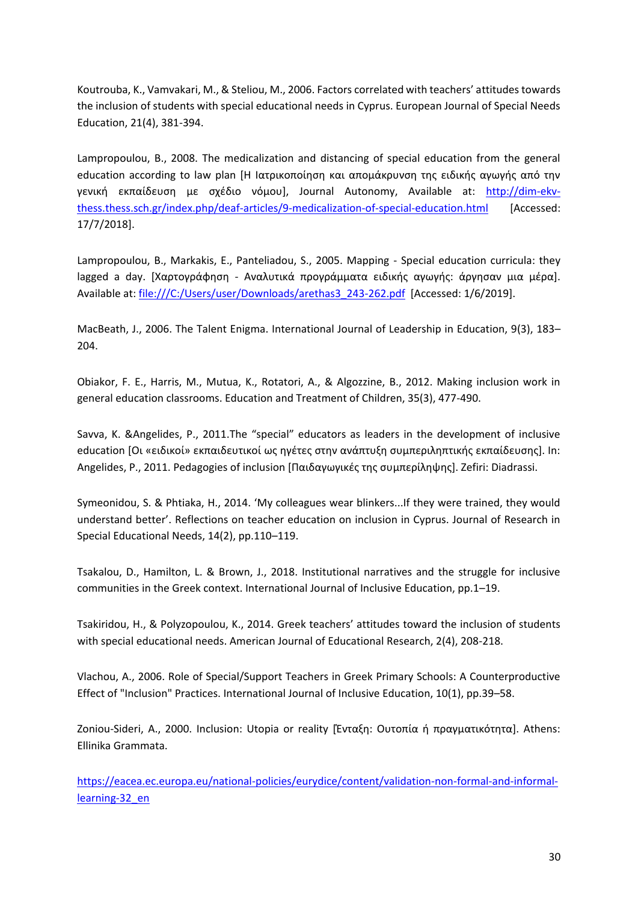Koutrouba, K., Vamvakari, M., & Steliou, M., 2006. Factors correlated with teachers' attitudes towards the inclusion of students with special educational needs in Cyprus. European Journal of Special Needs Education, 21(4), 381-394.

Lampropoulou, B., 2008. The medicalization and distancing of special education from the general education according to law plan [Η Ιατρικοποίηση και απομάκρυνση της ειδικής αγωγής από την γενική εκπαίδευση με σχέδιο νόμου], Journal Autonomy, Available at: [http://dim-ekv](http://dim-ekv-thess.thess.sch.gr/index.php/deaf-articles/9-medicalization-of-special-education.html)[thess.thess.sch.gr/index.php/deaf-articles/9-medicalization-of-special-education.html](http://dim-ekv-thess.thess.sch.gr/index.php/deaf-articles/9-medicalization-of-special-education.html) [Accessed: 17/7/2018].

Lampropoulou, B., Markakis, E., Panteliadou, S., 2005. Mapping - Special education curricula: they lagged a day. [Χαρτογράφηση - Αναλυτικά προγράμματα ειδικής αγωγής: άργησαν μια μέρα]. Available at[: file:///C:/Users/user/Downloads/arethas3\\_243-262.pdf](file:///C:/Users/user/Downloads/arethas3_243-262.pdf) [Accessed: 1/6/2019].

MacBeath, J., 2006. The Talent Enigma. International Journal of Leadership in Education, 9(3), 183– 204.

Obiakor, F. E., Harris, M., Mutua, K., Rotatori, A., & Algozzine, B., 2012. Making inclusion work in general education classrooms. Education and Treatment of Children, 35(3), 477-490.

Savva, K. &Angelides, P., 2011.The "special" educators as leaders in the development of inclusive education [Οι «ειδικοί» εκπαιδευτικοί ως ηγέτες στην ανάπτυξη συμπεριληπτικής εκπαίδευσης]. In: Angelides, P., 2011. Pedagogies of inclusion [Παιδαγωγικές της συμπερίληψης]. Zefiri: Diadrassi.

Symeonidou, S. & Phtiaka, H., 2014. 'My colleagues wear blinkers...If they were trained, they would understand better'. Reflections on teacher education on inclusion in Cyprus. Journal of Research in Special Educational Needs, 14(2), pp.110–119.

Tsakalou, D., Hamilton, L. & Brown, J., 2018. Institutional narratives and the struggle for inclusive communities in the Greek context. International Journal of Inclusive Education, pp.1–19.

Tsakiridou, H., & Polyzopoulou, K., 2014. Greek teachers' attitudes toward the inclusion of students with special educational needs. American Journal of Educational Research, 2(4), 208-218.

Vlachou, A., 2006. Role of Special/Support Teachers in Greek Primary Schools: A Counterproductive Effect of "Inclusion" Practices. International Journal of Inclusive Education, 10(1), pp.39–58.

Zoniou-Sideri, A., 2000. Inclusion: Utopia or reality [Ένταξη: Ουτοπία ή πραγματικότητα]. Athens: Ellinika Grammata.

[https://eacea.ec.europa.eu/national-policies/eurydice/content/validation-non-formal-and-informal](https://eacea.ec.europa.eu/national-policies/eurydice/content/validation-non-formal-and-informal-learning-32_en)[learning-32\\_en](https://eacea.ec.europa.eu/national-policies/eurydice/content/validation-non-formal-and-informal-learning-32_en)